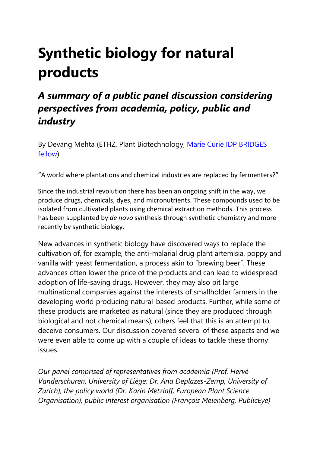# **Synthetic biology for natural products**

# *A summary of a public panel discussion considering perspectives from academia, policy, public and industry*

By Devang Mehta (ETHZ, Plant Biotechnology, [Marie Curie IDP BRIDGES](https://www.plantsciences.uzh.ch/en/research/fellowships/idpbridges.html)  [fellow\)](https://www.plantsciences.uzh.ch/en/research/fellowships/idpbridges.html)

"A world where plantations and chemical industries are replaced by fermenters?"

Since the industrial revolution there has been an ongoing shift in the way, we produce drugs, chemicals, dyes, and micronutrients. These compounds used to be isolated from cultivated plants using chemical extraction methods. This process has been supplanted by *de novo* synthesis through synthetic chemistry and more recently by synthetic biology.

New advances in synthetic biology have discovered ways to replace the cultivation of, for example, the anti-malarial drug plant artemisia, poppy and vanilla with yeast fermentation, a process akin to "brewing beer". These advances often lower the price of the products and can lead to widespread adoption of life-saving drugs. However, they may also pit large multinational companies against the interests of smallholder farmers in the developing world producing natural-based products. Further, while some of these products are marketed as natural (since they are produced through biological and not chemical means), others feel that this is an attempt to deceive consumers. Our discussion covered several of these aspects and we were even able to come up with a couple of ideas to tackle these thorny issues.

*Our panel comprised of representatives from academia (Prof. Hervé Vanderschuren, University of Liège; Dr. Ana Deplazes-Zemp, University of Zurich), the policy world (Dr. Karin Metzlaff, European Plant Science Organisation), public interest organisation (François Meienberg, PublicEye)*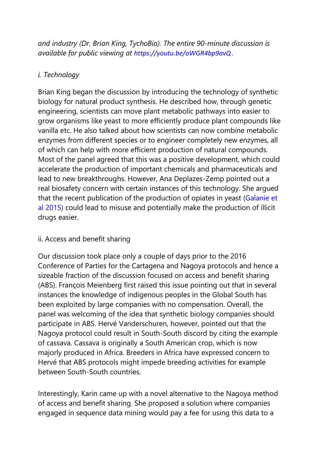*and industry (Dr. Brian King, TychoBio). The entire 90-minute discussion is available for public viewing at <https://youtu.be/oWGR4bp9avQ> .*

## *i. Technology*

Brian King began the discussion by introducing the technology of synthetic biology for natural product synthesis. He described how, through genetic engineering, scientists can move plant metabolic pathways into easier to grow organisms like yeast to more efficiently produce plant compounds like vanilla etc. He also talked about how scientists can now combine metabolic enzymes from different species or to engineer completely new enzymes, all of which can help with more efficient production of natural compounds. Most of the panel agreed that this was a positive development, which could accelerate the production of important chemicals and pharmaceuticals and lead to new breakthroughs. However, Ana Deplazes-Zemp pointed out a real biosafety concern with certain instances of this technology. She argued that the recent publication of the production of opiates in yeast [\(Galanie et](http://science.sciencemag.org/content/early/2015/08/12/science.aac9373.full)  [al 2015\)](http://science.sciencemag.org/content/early/2015/08/12/science.aac9373.full) could lead to misuse and potentially make the production of illicit drugs easier.

### ii. Access and benefit sharing

Our discussion took place only a couple of days prior to the 2016 Conference of Parties for the Cartagena and Nagoya protocols and hence a sizeable fraction of the discussion focused on access and benefit sharing (ABS). François Meienberg first raised this issue pointing out that in several instances the knowledge of indigenous peoples in the Global South has been exploited by large companies with no compensation. Overall, the panel was welcoming of the idea that synthetic biology companies should participate in ABS. Hervé Vanderschuren, however, pointed out that the Nagoya protocol could result in South-South discord by citing the example of cassava. Cassava is originally a South American crop, which is now majorly produced in Africa. Breeders in Africa have expressed concern to Hervé that ABS protocols might impede breeding activities for example between South-South countries.

Interestingly, Karin came up with a novel alternative to the Nagoya method of access and benefit sharing. She proposed a solution where companies engaged in sequence data mining would pay a fee for using this data to a